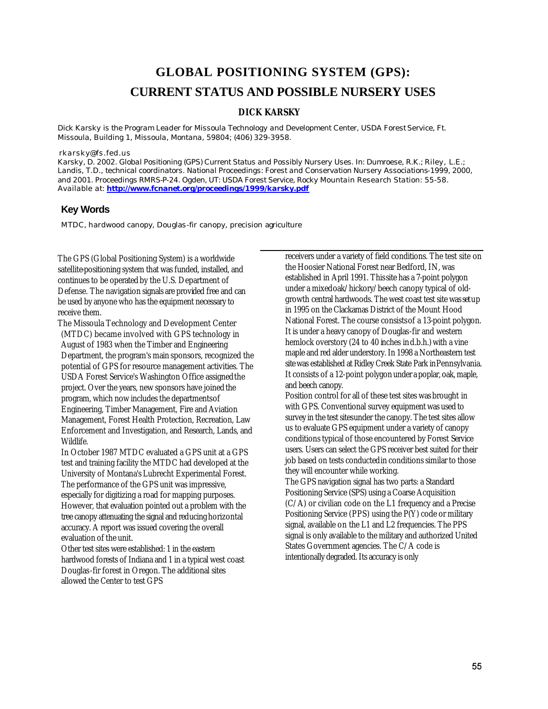# **GLOBAL POSITIONING SYSTEM (GPS): CURRENT STATUS AND POSSIBLE NURSERY USES**

#### **DICK KARSKY**

*Dick Karsky is the Program Leader for Missoula Technology and Development Center, USDA Forest Service, Ft. Missoula, Building 1, Missoula, Montana, 59804; (406) 329-3958.*

#### *rkarsky@fs.fed.us*

*Karsky, D. 2002. Global Positioning (GPS) Current Status and Possibly Nursery Uses. In: Dumroese, R.K.; Riley, L.E.;*  Landis, T.D., technical coordinators. National Proceedings: Forest and Conservation Nursery Associations-1999, 2000, *and 2001. Proceedings RMRS-P-24. Ogden, UT: USDA Forest Service, Rocky Mountain Research Station: 55-58. Available at: http://www.fcnanet.org/proceedings/1999/karsky.pdf*

#### **Key Words**

MTDC, hardwood canopy, Douglas-fir canopy, precision agriculture

The GPS (Global Positioning System) is a worldwide satellite-positioning system that was funded, installed, and continues to be operated by the U.S. Department of Defense. The navigation signals are provided free and can be used by anyone who has the equipment necessary to receive them.

The Missoula Technology and Development Center (MTDC) became involved with GPS technology in August of 1983 when the Timber and Engineering Department, the program's main sponsors, recognized the potential of GPS for resource management activities. The USDA Forest Service's Washington Office assigned the project. Over the years, new sponsors have joined the program, which now includes the departments of Engineering, Timber Management, Fire and Aviation Management, Forest Health Protection, Recreation, Law Enforcement and Investigation, and Research, Lands, and Wildlife.

In October 1987 MTDC evaluated a GPS unit at a GPS test and training facility the MTDC had developed at the University of Montana's Lubrecht Experimental Forest. The performance of the GPS unit was impressive, especially for digitizing a road for mapping purposes. However, that evaluation pointed out a problem with the tree canopy attenuating the signal and reducing horizontal accuracy. A report was issued covering the overall evaluation of the unit.

Other test sites were established: 1 in the eastern hardwood forests of Indiana and 1 in a typical west coast Douglas-fir forest in Oregon. The additional sites allowed the Center to test GPS

receivers under a variety of field conditions. The test site on the Hoosier National Forest near Bedford, IN, was established in April 1991. This site has a 7-point polygon under a mixed oak/hickory/beech canopy typical of oldgrowth central hardwoods. The west coast test site was set up in 1995 on the Clackamas District of the Mount Hood National Forest. The course consists of a 13-point polygon. It is under a heavy canopy of Douglas-fir and western hemlock overstory (24 to 40 inches in d.b.h.) with a vine maple and red alder understory. In 1998 a Northeastern test site was established at Ridley Creek State Park in Pennsylvania. It consists of a 12-point polygon under a poplar, oak, maple, and beech canopy.

Position control for all of these test sites was brought in with GPS. Conventional survey equipment was used to survey in the test sites under the canopy. The test sites allow us to evaluate GPS equipment under a variety of canopy conditions typical of those encountered by Forest Service users. Users can select the GPS receiver best suited for their job based on tests conducted in conditions similar to those they will encounter while working.

The GPS navigation signal has two parts: a Standard Positioning Service (SPS) using a Coarse Acquisition (C/A) or civilian code on the L1 frequency and a Precise Positioning Service (PPS) using the P(Y) code or military signal, available on the L1 and L2 frequencies. The PPS signal is only available to the military and authorized United States Government agencies. The C/A code is intentionally degraded. Its accuracy is only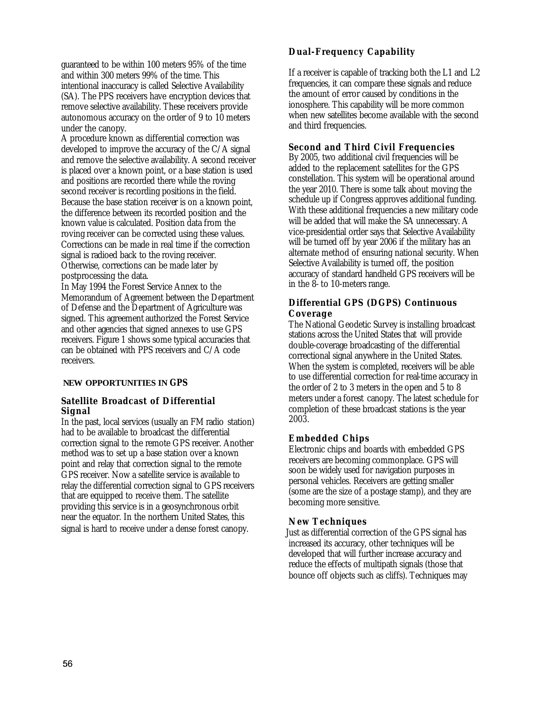guaranteed to be within 100 meters 95% of the time and within 300 meters 99% of the time. This intentional inaccuracy is called Selective Availability (SA). The PPS receivers have encryption devices that remove selective availability. These receivers provide autonomous accuracy on the order of 9 to 10 meters under the canopy.

A procedure known as differential correction was developed to improve the accuracy of the C/A signal and remove the selective availability. A second receiver is placed over a known point, or a base station is used and positions are recorded there while the roving second receiver is recording positions in the field. Because the base station receiver is on a known point, the difference between its recorded position and the known value is calculated. Position data from the roving receiver can be corrected using these values. Corrections can be made in real time if the correction signal is radioed back to the roving receiver. Otherwise, corrections can be made later by postprocessing the data.

In May 1994 the Forest Service Annex to the Memorandum of Agreement between the Department of Defense and the Department of Agriculture was signed. This agreement authorized the Forest Service and other agencies that signed annexes to use GPS receivers. Figure 1 shows some typical accuracies that can be obtained with PPS receivers and C/A code receivers.

#### **NEW OPPORTUNITIES IN GPS**

#### **Satellite Broadcast of Differential Signal**

In the past, local services (usually an FM radio station) had to be available to broadcast the differential correction signal to the remote GPS receiver. Another method was to set up a base station over a known point and relay that correction signal to the remote GPS receiver. Now a satellite service is available to relay the differential correction signal to GPS receivers that are equipped to receive them. The satellite providing this service is in a geosynchronous orbit near the equator. In the northern United States, this signal is hard to receive under a dense forest canopy.

### **Dual-Frequency Capability**

If a receiver is capable of tracking both the L1 and L2 frequencies, it can compare these signals and reduce the amount of error caused by conditions in the ionosphere. This capability will be more common when new satellites become available with the second and third frequencies.

## **Second and Third Civil Frequencies**

By 2005, two additional civil frequencies will be added to the replacement satellites for the GPS constellation. This system will be operational around the year 2010. There is some talk about moving the schedule up if Congress approves additional funding. With these additional frequencies a new military code will be added that will make the SA unnecessary. A vice-presidential order says that Selective Availability will be turned off by year 2006 if the military has an alternate method of ensuring national security. When Selective Availability is turned off, the position accuracy of standard handheld GPS receivers will be in the 8- to 10-meters range.

### **Differential GPS (DGPS) Continuous Coverage**

The National Geodetic Survey is installing broadcast stations across the United States that will provide double-coverage broadcasting of the differential correctional signal anywhere in the United States. When the system is completed, receivers will be able to use differential correction for real-time accuracy in the order of 2 to 3 meters in the open and 5 to 8 meters under a forest canopy. The latest schedule for completion of these broadcast stations is the year 2003.

#### **Embedded Chips**

Electronic chips and boards with embedded GPS receivers are becoming commonplace. GPS will soon be widely used for navigation purposes in personal vehicles. Receivers are getting smaller (some are the size of a postage stamp), and they are becoming more sensitive.

#### **New Techniques**

Just as differential correction of the GPS signal has increased its accuracy, other techniques will be developed that will further increase accuracy and reduce the effects of multipath signals (those that bounce off objects such as cliffs). Techniques may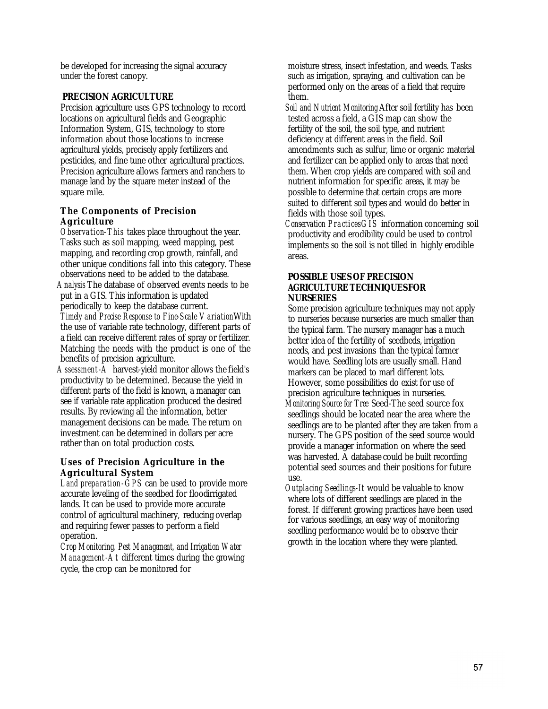be developed for increasing the signal accuracy under the forest canopy.

## **PRECISION AGRICULTURE**

Precision agriculture uses GPS technology to record locations on agricultural fields and Geographic Information System, GIS, technology to store information about those locations to increase agricultural yields, precisely apply fertilizers and pesticides, and fine tune other agricultural practices. Precision agriculture allows farmers and ranchers to manage land by the square meter instead of the square mile.

### **The Components of Precision Agriculture**

*Observation-This* takes place throughout the year. Tasks such as soil mapping, weed mapping, pest mapping, and recording crop growth, rainfall, and other unique conditions fall into this category. These observations need to be added to the database. *Analysis* The database of observed events needs to be put in a GIS. This information is updated periodically to keep the database current. *Timely and Precise Response to Fine-Scale Variation*With the use of variable rate technology, different parts of a field can receive different rates of spray or fertilizer. Matching the needs with the product is one of the benefits of precision agriculture.

*Assessment-A* harvest-yield monitor allows the field's productivity to be determined. Because the yield in different parts of the field is known, a manager can see if variable rate application produced the desired results. By reviewing all the information, better management decisions can be made. The return on investment can be determined in dollars per acre rather than on total production costs.

## **Uses of Precision Agriculture in the Agricultural System**

*Land preparation -GPS* can be used to provide more accurate leveling of the seedbed for floodirrigated lands. It can be used to provide more accurate control of agricultural machinery, reducing overlap and requiring fewer passes to perform a field operation.

*Crop Monitoring, Pest Management, and Irrigation Water Management-At* different times during the growing cycle, the crop can be monitored for

moisture stress, insect infestation, and weeds. Tasks such as irrigation, spraying, and cultivation can be performed only on the areas of a field that require them.

*Soil and Nutrient Monitoring* After soil fertility has been tested across a field, a GIS map can show the fertility of the soil, the soil type, and nutrient deficiency at different areas in the field. Soil amendments such as sulfur, lime or organic material and fertilizer can be applied only to areas that need them. When crop yields are compared with soil and nutrient information for specific areas, it may be possible to determine that certain crops are more suited to different soil types and would do better in fields with those soil types.

*Conservation PracticesGIS* information concerning soil productivity and erodibility could be used to control implements so the soil is not tilled in highly erodible areas.

#### **POSSIBLE USES OF PRECISION AGRICULTURE TECHNIQUES FOR NURSERIES**

Some precision agriculture techniques may not apply to nurseries because nurseries are much smaller than the typical farm. The nursery manager has a much better idea of the fertility of seedbeds, irrigation needs, and pest invasions than the typical farmer would have. Seedling lots are usually small. Hand markers can be placed to marl different lots. However, some possibilities do exist for use of precision agriculture techniques in nurseries. *Monitoring Source for Tree* Seed-The seed source fox seedlings should be located near the area where the seedlings are to be planted after they are taken from a nursery. The GPS position of the seed source would provide a manager information on where the seed was harvested. A database could be built recording potential seed sources and their positions for future use.

*Outplacing Seedlings-It* would be valuable to know where lots of different seedlings are placed in the forest. If different growing practices have been used for various seedlings, an easy way of monitoring seedling performance would be to observe their growth in the location where they were planted.